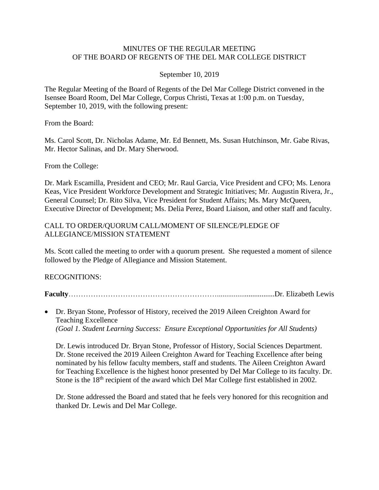### MINUTES OF THE REGULAR MEETING OF THE BOARD OF REGENTS OF THE DEL MAR COLLEGE DISTRICT

### September 10, 2019

The Regular Meeting of the Board of Regents of the Del Mar College District convened in the Isensee Board Room, Del Mar College, Corpus Christi, Texas at 1:00 p.m. on Tuesday, September 10, 2019, with the following present:

From the Board:

Ms. Carol Scott, Dr. Nicholas Adame, Mr. Ed Bennett, Ms. Susan Hutchinson, Mr. Gabe Rivas, Mr. Hector Salinas, and Dr. Mary Sherwood.

From the College:

Dr. Mark Escamilla, President and CEO; Mr. Raul Garcia, Vice President and CFO; Ms. Lenora Keas, Vice President Workforce Development and Strategic Initiatives; Mr. Augustin Rivera, Jr., General Counsel; Dr. Rito Silva, Vice President for Student Affairs; Ms. Mary McQueen, Executive Director of Development; Ms. Delia Perez, Board Liaison, and other staff and faculty.

#### CALL TO ORDER/QUORUM CALL/MOMENT OF SILENCE/PLEDGE OF ALLEGIANCE/MISSION STATEMENT

Ms. Scott called the meeting to order with a quorum present. She requested a moment of silence followed by the Pledge of Allegiance and Mission Statement.

RECOGNITIONS:

**Faculty**……………………………………………………...............................Dr. Elizabeth Lewis

 Dr. Bryan Stone, Professor of History, received the 2019 Aileen Creighton Award for Teaching Excellence *(Goal 1. Student Learning Success: Ensure Exceptional Opportunities for All Students)*

Dr. Lewis introduced Dr. Bryan Stone, Professor of History, Social Sciences Department. Dr. Stone received the 2019 Aileen Creighton Award for Teaching Excellence after being nominated by his fellow faculty members, staff and students. The Aileen Creighton Award for Teaching Excellence is the highest honor presented by Del Mar College to its faculty. Dr. Stone is the 18<sup>th</sup> recipient of the award which Del Mar College first established in 2002.

Dr. Stone addressed the Board and stated that he feels very honored for this recognition and thanked Dr. Lewis and Del Mar College.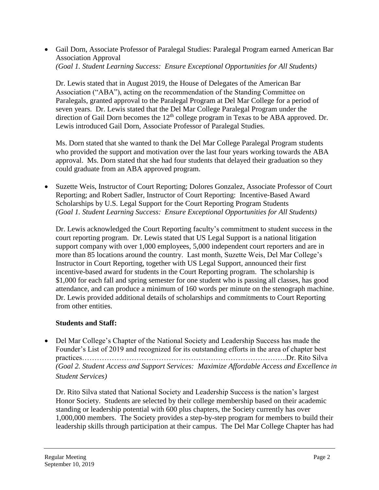Gail Dorn, Associate Professor of Paralegal Studies: Paralegal Program earned American Bar Association Approval *(Goal 1. Student Learning Success: Ensure Exceptional Opportunities for All Students)*

Dr. Lewis stated that in August 2019, the House of Delegates of the American Bar Association ("ABA"), acting on the recommendation of the Standing Committee on Paralegals, granted approval to the Paralegal Program at Del Mar College for a period of seven years. Dr. Lewis stated that the Del Mar College Paralegal Program under the direction of Gail Dorn becomes the 12<sup>th</sup> college program in Texas to be ABA approved. Dr. Lewis introduced Gail Dorn, Associate Professor of Paralegal Studies.

Ms. Dorn stated that she wanted to thank the Del Mar College Paralegal Program students who provided the support and motivation over the last four years working towards the ABA approval. Ms. Dorn stated that she had four students that delayed their graduation so they could graduate from an ABA approved program.

 Suzette Weis, Instructor of Court Reporting; Dolores Gonzalez, Associate Professor of Court Reporting; and Robert Sadler, Instructor of Court Reporting: Incentive-Based Award Scholarships by U.S. Legal Support for the Court Reporting Program Students *(Goal 1. Student Learning Success: Ensure Exceptional Opportunities for All Students)*

Dr. Lewis acknowledged the Court Reporting faculty's commitment to student success in the court reporting program. Dr. Lewis stated that US Legal Support is a national litigation support company with over 1,000 employees, 5,000 independent court reporters and are in more than 85 locations around the country. Last month, Suzette Weis, Del Mar College's Instructor in Court Reporting, together with US Legal Support, announced their first incentive-based award for students in the Court Reporting program. The scholarship is \$1,000 for each fall and spring semester for one student who is passing all classes, has good attendance, and can produce a minimum of 160 words per minute on the stenograph machine. Dr. Lewis provided additional details of scholarships and commitments to Court Reporting from other entities.

## **Students and Staff:**

• Del Mar College's Chapter of the National Society and Leadership Success has made the Founder's List of 2019 and recognized for its outstanding efforts in the area of chapter best practices………………………………………………………………………..Dr. Rito Silva *(Goal 2. Student Access and Support Services: Maximize Affordable Access and Excellence in Student Services)*

Dr. Rito Silva stated that National Society and Leadership Success is the nation's largest Honor Society. Students are selected by their college membership based on their academic standing or leadership potential with 600 plus chapters, the Society currently has over 1,000,000 members. The Society provides a step-by-step program for members to build their leadership skills through participation at their campus. The Del Mar College Chapter has had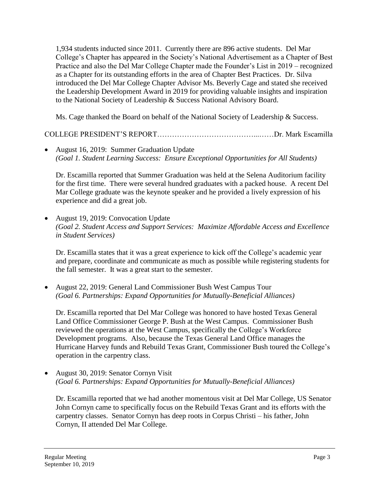1,934 students inducted since 2011. Currently there are 896 active students. Del Mar College's Chapter has appeared in the Society's National Advertisement as a Chapter of Best Practice and also the Del Mar College Chapter made the Founder's List in 2019 – recognized as a Chapter for its outstanding efforts in the area of Chapter Best Practices. Dr. Silva introduced the Del Mar College Chapter Advisor Ms. Beverly Cage and stated she received the Leadership Development Award in 2019 for providing valuable insights and inspiration to the National Society of Leadership & Success National Advisory Board.

Ms. Cage thanked the Board on behalf of the National Society of Leadership & Success.

# COLLEGE PRESIDENT'S REPORT…………………………………...……Dr. Mark Escamilla

• August 16, 2019: Summer Graduation Update *(Goal 1. Student Learning Success: Ensure Exceptional Opportunities for All Students)* 

Dr. Escamilla reported that Summer Graduation was held at the Selena Auditorium facility for the first time. There were several hundred graduates with a packed house. A recent Del Mar College graduate was the keynote speaker and he provided a lively expression of his experience and did a great job.

• August 19, 2019: Convocation Update *(Goal 2. Student Access and Support Services: Maximize Affordable Access and Excellence in Student Services)*

Dr. Escamilla states that it was a great experience to kick off the College's academic year and prepare, coordinate and communicate as much as possible while registering students for the fall semester. It was a great start to the semester.

 August 22, 2019: General Land Commissioner Bush West Campus Tour *(Goal 6. Partnerships: Expand Opportunities for Mutually-Beneficial Alliances)*

Dr. Escamilla reported that Del Mar College was honored to have hosted Texas General Land Office Commissioner George P. Bush at the West Campus. Commissioner Bush reviewed the operations at the West Campus, specifically the College's Workforce Development programs. Also, because the Texas General Land Office manages the Hurricane Harvey funds and Rebuild Texas Grant, Commissioner Bush toured the College's operation in the carpentry class.

• August 30, 2019: Senator Cornyn Visit *(Goal 6. Partnerships: Expand Opportunities for Mutually-Beneficial Alliances)*

Dr. Escamilla reported that we had another momentous visit at Del Mar College, US Senator John Cornyn came to specifically focus on the Rebuild Texas Grant and its efforts with the carpentry classes. Senator Cornyn has deep roots in Corpus Christi – his father, John Cornyn, II attended Del Mar College.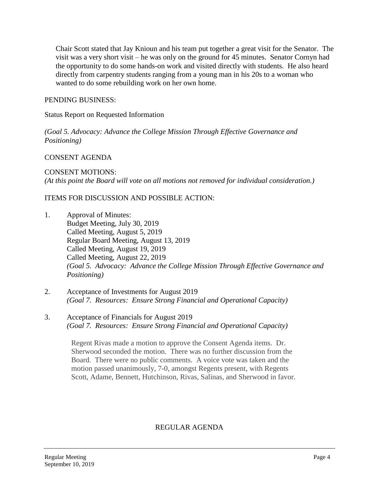Chair Scott stated that Jay Knioun and his team put together a great visit for the Senator. The visit was a very short visit – he was only on the ground for 45 minutes. Senator Cornyn had the opportunity to do some hands-on work and visited directly with students. He also heard directly from carpentry students ranging from a young man in his 20s to a woman who wanted to do some rebuilding work on her own home.

### PENDING BUSINESS:

Status Report on Requested Information

*(Goal 5. Advocacy: Advance the College Mission Through Effective Governance and Positioning)*

### CONSENT AGENDA

CONSENT MOTIONS: *(At this point the Board will vote on all motions not removed for individual consideration.)* 

### ITEMS FOR DISCUSSION AND POSSIBLE ACTION:

- 1. Approval of Minutes: Budget Meeting, July 30, 2019 Called Meeting, August 5, 2019 Regular Board Meeting, August 13, 2019 Called Meeting, August 19, 2019 Called Meeting, August 22, 2019 *(Goal 5. Advocacy: Advance the College Mission Through Effective Governance and Positioning)*
- 2. Acceptance of Investments for August 2019 *(Goal 7. Resources: Ensure Strong Financial and Operational Capacity)*
- 3. Acceptance of Financials for August 2019 *(Goal 7. Resources: Ensure Strong Financial and Operational Capacity)*

Regent Rivas made a motion to approve the Consent Agenda items. Dr. Sherwood seconded the motion. There was no further discussion from the Board. There were no public comments. A voice vote was taken and the motion passed unanimously, 7-0, amongst Regents present, with Regents Scott, Adame, Bennett, Hutchinson, Rivas, Salinas, and Sherwood in favor.

## REGULAR AGENDA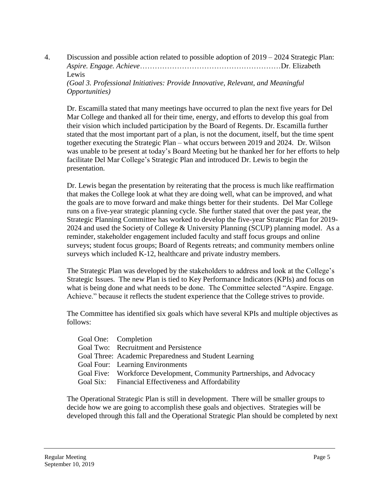4. Discussion and possible action related to possible adoption of 2019 – 2024 Strategic Plan: *Aspire. Engage. Achieve*…………………………………………………Dr. Elizabeth Lewis *(Goal 3. Professional Initiatives: Provide Innovative, Relevant, and Meaningful Opportunities)*

Dr. Escamilla stated that many meetings have occurred to plan the next five years for Del Mar College and thanked all for their time, energy, and efforts to develop this goal from their vision which included participation by the Board of Regents. Dr. Escamilla further stated that the most important part of a plan, is not the document, itself, but the time spent together executing the Strategic Plan – what occurs between 2019 and 2024. Dr. Wilson was unable to be present at today's Board Meeting but he thanked her for her efforts to help facilitate Del Mar College's Strategic Plan and introduced Dr. Lewis to begin the presentation.

Dr. Lewis began the presentation by reiterating that the process is much like reaffirmation that makes the College look at what they are doing well, what can be improved, and what the goals are to move forward and make things better for their students. Del Mar College runs on a five-year strategic planning cycle. She further stated that over the past year, the Strategic Planning Committee has worked to develop the five-year Strategic Plan for 2019- 2024 and used the Society of College & University Planning (SCUP) planning model. As a reminder, stakeholder engagement included faculty and staff focus groups and online surveys; student focus groups; Board of Regents retreats; and community members online surveys which included K-12, healthcare and private industry members.

The Strategic Plan was developed by the stakeholders to address and look at the College's Strategic Issues. The new Plan is tied to Key Performance Indicators (KPIs) and focus on what is being done and what needs to be done. The Committee selected "Aspire. Engage. Achieve." because it reflects the student experience that the College strives to provide.

The Committee has identified six goals which have several KPIs and multiple objectives as follows:

| Goal One: Completion                                                   |
|------------------------------------------------------------------------|
| Goal Two: Recruitment and Persistence                                  |
| Goal Three: Academic Preparedness and Student Learning                 |
| Goal Four: Learning Environments                                       |
| Goal Five: Workforce Development, Community Partnerships, and Advocacy |
| Goal Six: Financial Effectiveness and Affordability                    |

The Operational Strategic Plan is still in development. There will be smaller groups to decide how we are going to accomplish these goals and objectives. Strategies will be developed through this fall and the Operational Strategic Plan should be completed by next